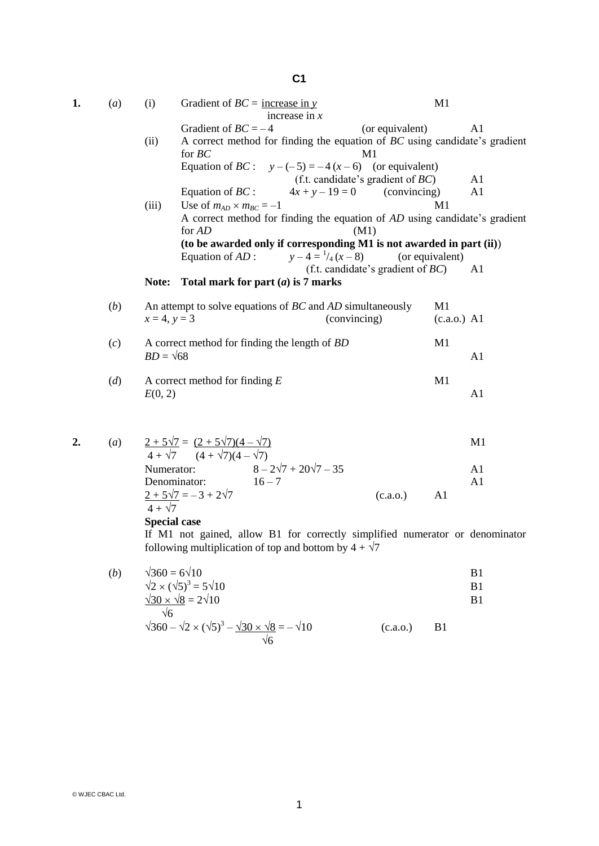## **C1**

| 1. | (a) | (i)                                                       | Gradient of $BC =$ increase in y                                                              | increase in $x$                                                                                |                                      | M1                  |                      |
|----|-----|-----------------------------------------------------------|-----------------------------------------------------------------------------------------------|------------------------------------------------------------------------------------------------|--------------------------------------|---------------------|----------------------|
|    |     | (ii)                                                      | Gradient of $BC = -4$<br>for $BC$                                                             | A correct method for finding the equation of BC using candidate's gradient                     | (or equivalent)<br>M1                |                     | A <sub>1</sub>       |
|    |     |                                                           |                                                                                               | Equation of <i>BC</i> : $y-(-5) = -4(x-6)$ (or equivalent)                                     | (f.t. candidate's gradient of $BC$ ) |                     | A1                   |
|    |     | (iii)                                                     | Equation of $BC$ :<br>Use of $m_{AD} \times m_{BC} = -1$                                      | $4x + y - 19 = 0$                                                                              | (convincing)                         | M1                  | A1                   |
|    |     |                                                           | A correct method for finding the equation of AD using candidate's gradient<br>for AD<br>(M1)  |                                                                                                |                                      |                     |                      |
|    |     |                                                           | Equation of $AD$ :                                                                            | (to be awarded only if corresponding M1 is not awarded in part (ii))<br>$y-4=\frac{1}{4}(x-8)$ |                                      | (or equivalent)     |                      |
|    |     | Note:                                                     |                                                                                               | Total mark for part $(a)$ is 7 marks                                                           | (f.t. candidate's gradient of $BC$ ) |                     | A <sub>1</sub>       |
|    | (b) | $x = 4, y = 3$                                            |                                                                                               | An attempt to solve equations of BC and AD simultaneously                                      | (convincing)                         | M1<br>$(c.a.o.)$ A1 |                      |
|    | (c) | $BD = \sqrt{68}$                                          |                                                                                               | A correct method for finding the length of BD                                                  |                                      | M1                  | A1                   |
|    | (d) | E(0, 2)                                                   | A correct method for finding $E$                                                              |                                                                                                |                                      | M1                  | A1                   |
| 2. | (a) |                                                           | $\frac{2+5\sqrt{7}}{4+\sqrt{7}} = \frac{(2+5\sqrt{7})(4-\sqrt{7})}{(4+\sqrt{7})(4-\sqrt{7})}$ |                                                                                                |                                      |                     | M1                   |
|    |     |                                                           | Denominator:                                                                                  | Numerator: $8 - 2\sqrt{7} + 20\sqrt{7} - 35$<br>$16 - 7$                                       |                                      |                     | A1<br>A <sub>1</sub> |
|    |     | $4 + \sqrt{7}$<br>$C_{\text{meas}}$ and $C_{\text{meas}}$ | $2 + 5\sqrt{7} = -3 + 2\sqrt{7}$                                                              |                                                                                                | (c.a.o.)                             | A <sub>1</sub>      |                      |

**Special case**

If M1 not gained, allow B1 for correctly simplified numerator or denominator following multiplication of top and bottom by  $4 + \sqrt{7}$ 

| (b) | $\sqrt{360} = 6\sqrt{10}$                   | B1 |
|-----|---------------------------------------------|----|
|     | $\sqrt{2} \times (\sqrt{5})^3 = 5\sqrt{10}$ | B1 |
|     | $\sqrt{30} \times \sqrt{8} = 2\sqrt{10}$    |    |
|     |                                             |    |

$$
\sqrt{360} - \sqrt{2} \times (\sqrt{5})^3 - \frac{\sqrt{30} \times \sqrt{8}}{\sqrt{6}} = -\sqrt{10}
$$
 (c.a.o.) B1

© WJEC CBAC Ltd.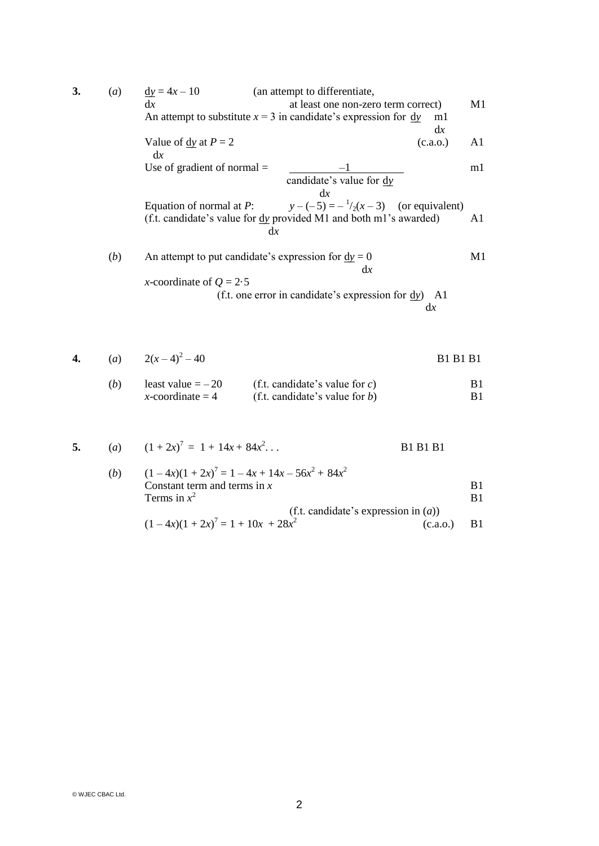| 3. | (a) | $\underline{dy} = 4x - 10$<br>(an attempt to differentiate,                                                                                                         |    |
|----|-----|---------------------------------------------------------------------------------------------------------------------------------------------------------------------|----|
|    |     | dx<br>at least one non-zero term correct)<br>An attempt to substitute $x = 3$ in candidate's expression for $\frac{dy}{dx}$<br>ml                                   | M1 |
|    |     | dx<br>Value of $\frac{dy}{dx}$ at $P = 2$<br>(c.a.o.)<br>dx                                                                                                         | A1 |
|    |     | Use of gradient of normal $=$<br>candidate's value for dy                                                                                                           | m1 |
|    |     | dx<br>$y-(-5) = -\frac{1}{2}(x-3)$ (or equivalent)<br>Equation of normal at $P$ :<br>(f.t. candidate's value for <u>dy</u> provided M1 and both m1's awarded)<br>dx | A1 |
|    | (b) | An attempt to put candidate's expression for $dy = 0$<br>dx<br><i>x</i> -coordinate of $Q = 2.5$                                                                    | M1 |
|    |     | (f.t. one error in candidate's expression for $\frac{dy}{dx}$ ) A1<br>dx                                                                                            |    |
|    |     | (a) $2(x-4)^2-40$<br><b>B1 B1 B1</b>                                                                                                                                |    |

(*b*) least value = – 20 (f.t. candidate's value for *c*) B1 *x*-coordinate = 4 (f.t. candidate's value for *b*) B1

5. (a) 
$$
(1+2x)^7 = 1 + 14x + 84x^2...
$$
 B1 B1 B1

(b) 
$$
(1-4x)(1+2x)^7 = 1-4x+14x-56x^2+84x^2
$$
  
Constant term and terms in x  
Terms in  $x^2$  B1  
(f.t. candidate's expression in (a))

$$
(1 - 4x)(1 + 2x)^7 = 1 + 10x + 28x^2
$$
 (c.a.o.) B1

© WJEC CBAC Ltd.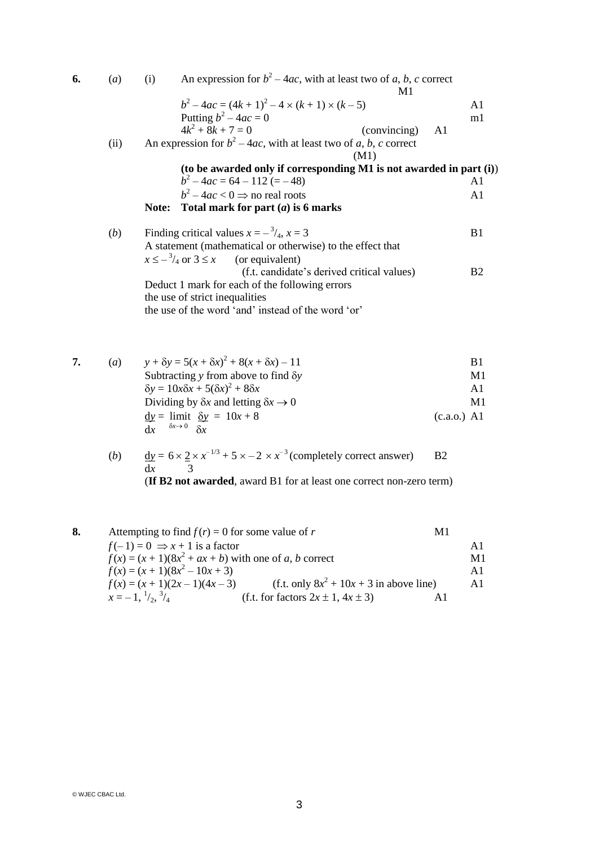| 6. | (a)  | (i)   | An expression for $b^2 - 4ac$ , with at least two of a, b, c correct                                                                                                                                                                | M1                                         |    |                |
|----|------|-------|-------------------------------------------------------------------------------------------------------------------------------------------------------------------------------------------------------------------------------------|--------------------------------------------|----|----------------|
|    |      |       | $b^2-4ac = (4k+1)^2 - 4 \times (k+1) \times (k-5)$                                                                                                                                                                                  |                                            |    | A <sub>1</sub> |
|    |      |       | Putting $b^2 - 4ac = 0$                                                                                                                                                                                                             |                                            |    | m1             |
|    |      |       | $4k^2 + 8k + 7 = 0$                                                                                                                                                                                                                 | (convincing)                               | A1 |                |
|    | (ii) |       | An expression for $b^2 - 4ac$ , with at least two of a, b, c correct                                                                                                                                                                | (M1)                                       |    |                |
|    |      |       | (to be awarded only if corresponding M1 is not awarded in part (i))                                                                                                                                                                 |                                            |    |                |
|    |      |       | $b^2-4ac = 64 - 112 (= -48)$                                                                                                                                                                                                        |                                            |    | A1             |
|    |      |       | $b^2-4ac < 0 \Rightarrow$ no real roots                                                                                                                                                                                             |                                            |    | A1             |
|    |      | Note: | Total mark for part $(a)$ is 6 marks                                                                                                                                                                                                |                                            |    |                |
|    | (b)  |       | Finding critical values $x = -\frac{3}{4}$ , $x = 3$                                                                                                                                                                                |                                            |    | B1             |
|    |      |       | A statement (mathematical or otherwise) to the effect that                                                                                                                                                                          |                                            |    |                |
|    |      |       | $x \le -\frac{3}{4}$ or $3 \le x$ (or equivalent)                                                                                                                                                                                   |                                            |    |                |
|    |      |       |                                                                                                                                                                                                                                     | (f.t. candidate's derived critical values) |    | B <sub>2</sub> |
|    |      |       | Deduct 1 mark for each of the following errors                                                                                                                                                                                      |                                            |    |                |
|    |      |       | the use of strict inequalities                                                                                                                                                                                                      |                                            |    |                |
|    |      |       | the use of the word 'and' instead of the word 'or'                                                                                                                                                                                  |                                            |    |                |
| 7. | (a)  |       | $y + \delta y = 5(x + \delta x)^2 + 8(x + \delta x) - 11$                                                                                                                                                                           |                                            |    | B1             |
|    |      |       | Subtracting $y$ from above to find $\delta y$                                                                                                                                                                                       |                                            |    | M1             |
|    |      |       | $\delta y = 10x\delta x + 5(\delta x)^2 + 8\delta x$                                                                                                                                                                                |                                            |    | A1             |
|    |      |       | <b>Property</b> the contract of the contract of the contract of the contract of the contract of the contract of the contract of the contract of the contract of the contract of the contract of the contract of the contract of the |                                            |    | $\mathbf{v}$   |

| M1            |
|---------------|
| $(c.a.o.)$ A1 |
|               |
|               |

(*b*)  $dy = 6 \times 2 \times x^{-1/3} + 5 \times -2 \times x^{-3}$  (completely correct answer) B2 d*x* 3 (**If B2 not awarded**, award B1 for at least one correct non-zero term)

| 8. | Attempting to find $f(r) = 0$ for some value of r                                 | МI            |
|----|-----------------------------------------------------------------------------------|---------------|
|    | $f(-1) = 0 \Rightarrow x + 1$ is a factor                                         |               |
|    | $f(x) = (x + 1)(8x2 + ax + b)$ with one of a, b correct                           | M1            |
|    | $f(x) = (x + 1)(8x^2 - 10x + 3)$                                                  | $\mathbf{A}1$ |
|    | (f.t. only $8x^2 + 10x + 3$ in above line)<br>$f(x) = (x + 1)(2x – 1)(4x – 3)$    | A1            |
|    | $x=-1.\frac{1}{2}$ , $\frac{3}{4}$<br>(f.t. for factors $2x \pm 1$ , $4x \pm 3$ ) |               |

© WJEC CBAC Ltd.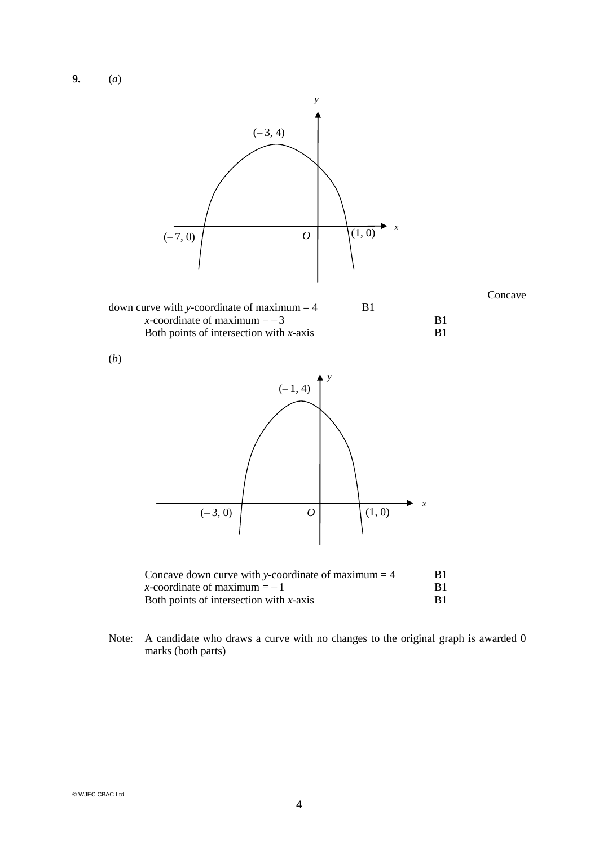**9.** (*a*)



Note: A candidate who draws a curve with no changes to the original graph is awarded 0 marks (both parts)